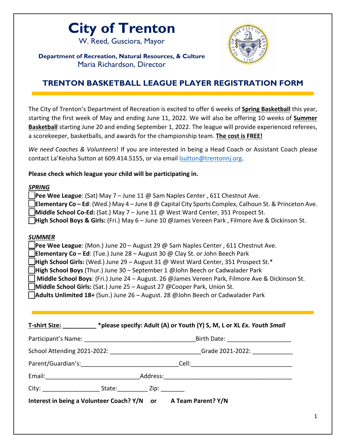## **City of Trenton**

W. Reed, Gusciora, Mayor



**Department of Recreation, Natural Resources, & Culture** Maria Richardson, Director

## **TRENTON BASKETBALL LEAGUE PLAYER REGISTRATION FORM**

The City of Trenton's Department of Recreation is excited to offer 6 weeks of **Spring Basketball** this year, starting the first week of May and ending June 11, 2022. We will also be offering 10 weeks of **Summer Basketball** starting June 20 and ending September 1, 2022. The league will provide experienced referees, a scorekeeper, basketballs, and awards for the championship team. **The cost is FREE!**

| We need Coaches & Volunteers! If you are interested in being a Head Coach or Assistant Coach please |
|-----------------------------------------------------------------------------------------------------|
| contact La'Keisha Sutton at 609.414.5155, or via email sutton@trentonnj.org.                        |
|                                                                                                     |

**Please check which league your child will be participating in.** 

## *SPRING*

| <b>I Pee Wee League:</b> (Sat) May 7 – June 11 @ Sam Naples Center, 611 Chestnut Ave.                         |
|---------------------------------------------------------------------------------------------------------------|
| <b>Elementary Co – Ed</b> : (Wed.) May 4 – June 8 @ Capital City Sports Complex, Calhoun St. & Princeton Ave. |
| <b>Middle School Co-Ed:</b> (Sat.) May $7 -$ June 11 @ West Ward Center, 351 Prospect St.                     |
| High School Boys & Girls: (Fri.) May 6 – June 10 @James Vereen Park, Filmore Ave & Dickinson St.              |
|                                                                                                               |
|                                                                                                               |

## *SUMMER*

**\_\_Pee Wee League**: (Mon.) June 20 – August 29 @ Sam Naples Center , 611 Chestnut Ave.

**\_\_Elementary Co – Ed**: (Tue.) June 28 – August 30 @ Clay St. or John Beech Park

**High School Girls:** (Wed.) June 29 – August 31 @ West Ward Center, 351 Prospect St.\*

**\_\_High School Boys** (Thur.) June 30 – September 1 @John Beech or Cadwalader Park

**\_\_ Middle School Boys**: (Fri.) June 24 – August. 26 @James Vereen Park, Filmore Ave & Dickinson St.

**\_\_Middle School Girls:** (Sat.) June 25 – August 27 @Cooper Park, Union St.

**\_\_Adults Unlimited 18+** (Sun.) June 26 – August. 28 @John Beech or Cadwalader Park

|                                                                |  |  | School Attending 2021-2022: ____________________________Grade 2021-2022: ________ |  |
|----------------------------------------------------------------|--|--|-----------------------------------------------------------------------------------|--|
|                                                                |  |  |                                                                                   |  |
|                                                                |  |  |                                                                                   |  |
|                                                                |  |  |                                                                                   |  |
| Interest in being a Volunteer Coach? Y/N or A Team Parent? Y/N |  |  |                                                                                   |  |